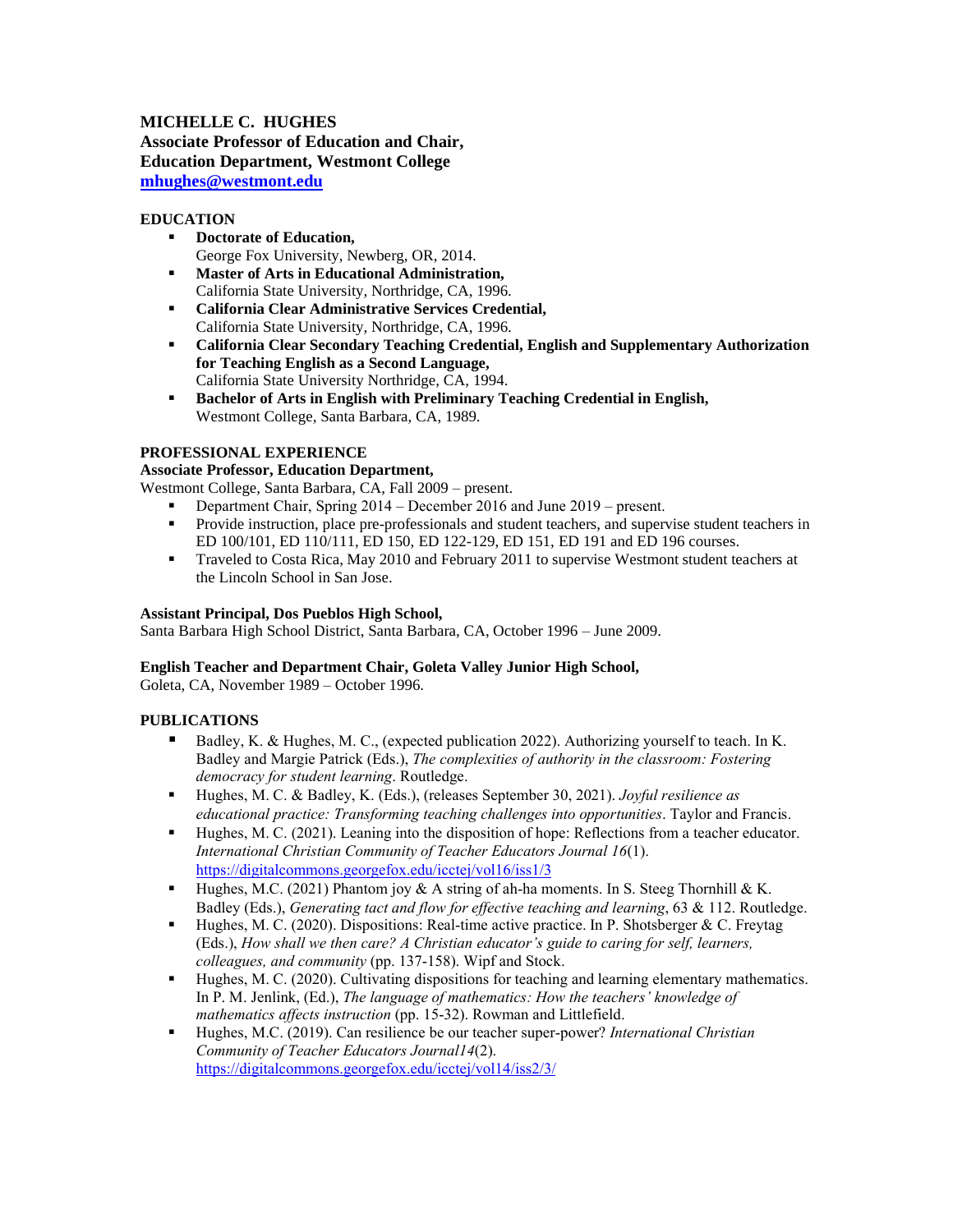# **MICHELLE C. HUGHES Associate Professor of Education and Chair, Education Department, Westmont College [mhughes@westmont.edu](mailto:mhughes@westmont.edu)**

### **EDUCATION**

- **Doctorate of Education,**  George Fox University, Newberg, OR, 2014.
- **Master of Arts in Educational Administration,** California State University, Northridge, CA, 1996.
- **California Clear Administrative Services Credential,**  California State University, Northridge, CA, 1996.
- **California Clear Secondary Teaching Credential, English and Supplementary Authorization for Teaching English as a Second Language,**  California State University Northridge, CA, 1994.
- **Bachelor of Arts in English with Preliminary Teaching Credential in English,** Westmont College, Santa Barbara, CA, 1989.

#### **PROFESSIONAL EXPERIENCE**

### **Associate Professor, Education Department,**

Westmont College, Santa Barbara, CA, Fall 2009 – present.

- Department Chair, Spring 2014 December 2016 and June 2019 present.
- **•** Provide instruction, place pre-professionals and student teachers, and supervise student teachers in ED 100/101, ED 110/111, ED 150, ED 122-129, ED 151, ED 191 and ED 196 courses.
- **•** Traveled to Costa Rica, May 2010 and February 2011 to supervise Westmont student teachers at the Lincoln School in San Jose.

#### **Assistant Principal, Dos Pueblos High School,**

Santa Barbara High School District, Santa Barbara, CA, October 1996 – June 2009.

### **English Teacher and Department Chair, Goleta Valley Junior High School,**

Goleta, CA, November 1989 – October 1996.

### **PUBLICATIONS**

- Badley, K. & Hughes, M. C., (expected publication 2022). Authorizing yourself to teach. In K. Badley and Margie Patrick (Eds.), *The complexities of authority in the classroom: Fostering democracy for student learning*. Routledge.
- Hughes, M. C. & Badley, K. (Eds.), (releases September 30, 2021). *Joyful resilience as educational practice: Transforming teaching challenges into opportunities*. Taylor and Francis.
- Hughes, M. C. (2021). Leaning into the disposition of hope: Reflections from a teacher educator. *International Christian Community of Teacher Educators Journal 16*(1). <https://digitalcommons.georgefox.edu/icctej/vol16/iss1/3>
- **•** Hughes, M.C. (2021) Phantom joy & A string of ah-ha moments. In S. Steeg Thornhill & K. Badley (Eds.), *Generating tact and flow for effective teaching and learning*, 63 & 112. Routledge.
- **•** Hughes, M. C. (2020). Dispositions: Real-time active practice. In P. Shotsberger & C. Freytag (Eds.), *How shall we then care? A Christian educator's guide to caring for self, learners, colleagues, and community* (pp. 137-158). Wipf and Stock.
- Hughes, M. C. (2020). Cultivating dispositions for teaching and learning elementary mathematics. In P. M. Jenlink, (Ed.), *The language of mathematics: How the teachers' knowledge of mathematics affects instruction* (pp. 15-32). Rowman and Littlefield.
- Hughes, M.C. (2019). Can resilience be our teacher super-power? *International Christian Community of Teacher Educators Journal14*(2). <https://digitalcommons.georgefox.edu/icctej/vol14/iss2/3/>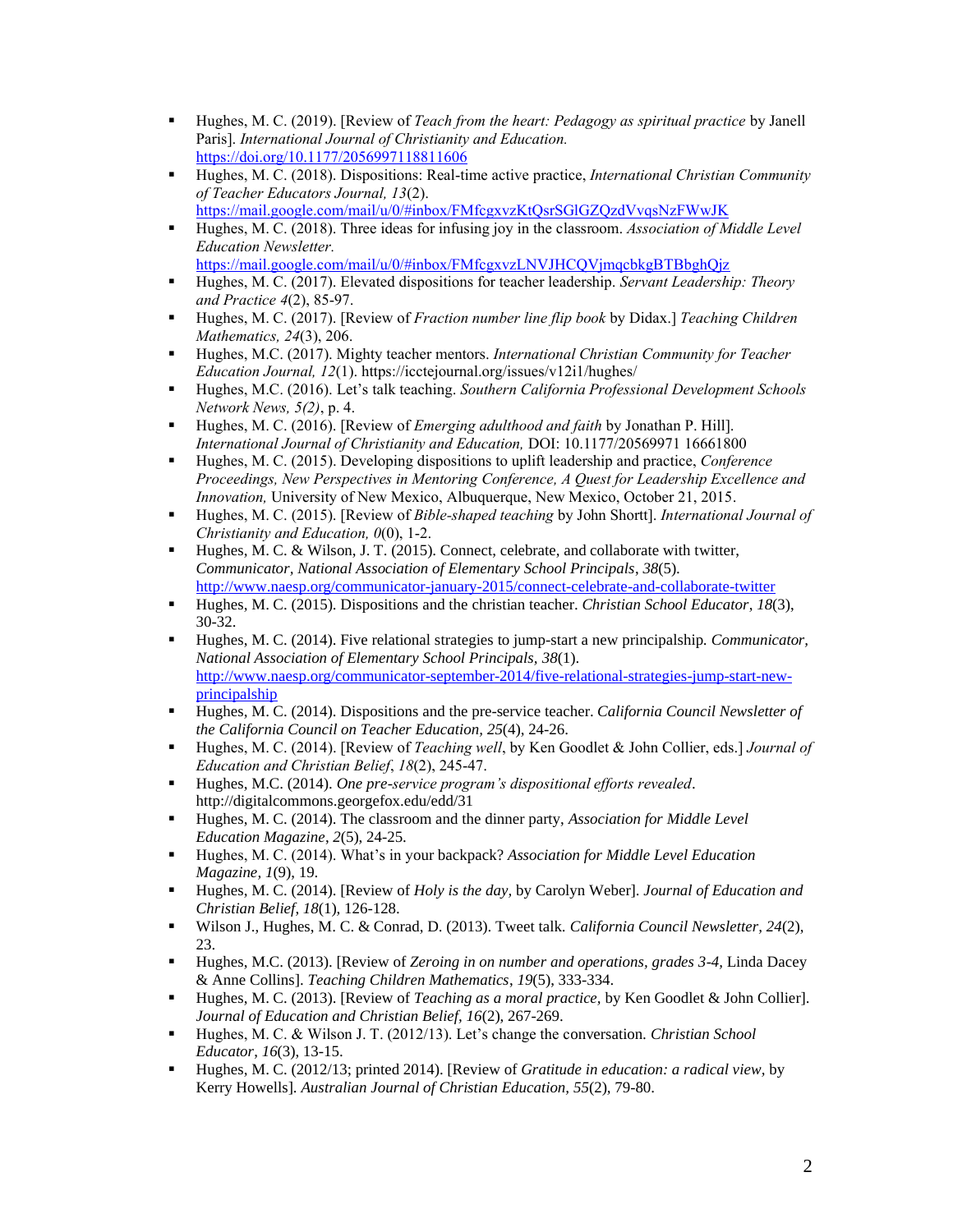- Hughes, M. C. (2019). [Review of *Teach from the heart: Pedagogy as spiritual practice* by Janell Paris]. *International Journal of Christianity and Education.* <https://doi.org/10.1177/2056997118811606>
- Hughes, M. C. (2018). Dispositions: Real-time active practice, *International Christian Community of Teacher Educators Journal, 13*(2). <https://mail.google.com/mail/u/0/#inbox/FMfcgxvzKtQsrSGlGZQzdVvqsNzFWwJK>
- Hughes, M. C. (2018). Three ideas for infusing joy in the classroom. *Association of Middle Level Education Newsletter.*
- <https://mail.google.com/mail/u/0/#inbox/FMfcgxvzLNVJHCQVjmqcbkgBTBbghQjz> ▪ Hughes, M. C. (2017). Elevated dispositions for teacher leadership. *Servant Leadership: Theory*
- *and Practice 4*(2), 85-97. ▪ Hughes, M. C. (2017). [Review of *Fraction number line flip book* by Didax.] *Teaching Children Mathematics, 24*(3), 206.
- Hughes, M.C. (2017). Mighty teacher mentors. *International Christian Community for Teacher Education Journal, 12*(1). https://icctejournal.org/issues/v12i1/hughes/
- Hughes, M.C. (2016). Let's talk teaching. *Southern California Professional Development Schools Network News, 5(2)*, p. 4.
- Hughes, M. C. (2016). [Review of *Emerging adulthood and faith* by Jonathan P. Hill]. *International Journal of Christianity and Education,* DOI: 10.1177/20569971 16661800
- Hughes, M. C. (2015). Developing dispositions to uplift leadership and practice, *Conference Proceedings, New Perspectives in Mentoring Conference, A Quest for Leadership Excellence and Innovation,* University of New Mexico, Albuquerque, New Mexico, October 21, 2015.
- Hughes, M. C. (2015). [Review of *Bible-shaped teaching* by John Shortt]. *International Journal of Christianity and Education, 0*(0), 1-2.
- $\blacksquare$  Hughes, M. C. & Wilson, J. T. (2015). Connect, celebrate, and collaborate with twitter, *Communicator, National Association of Elementary School Principals*, *38*(5). <http://www.naesp.org/communicator-january-2015/connect-celebrate-and-collaborate-twitter>
- Hughes, M. C. (2015). Dispositions and the christian teacher. *Christian School Educator*, *18*(3), 30-32.
- Hughes, M. C. (2014). Five relational strategies to jump-start a new principalship. *Communicator*, *National Association of Elementary School Principals, 38*(1). [http://www.naesp.org/communicator-september-2014/five-relational-strategies-jump-start-new](http://www.naesp.org/communicator-september-2014/five-relational-strategies-jump-start-new-principalship)[principalship](http://www.naesp.org/communicator-september-2014/five-relational-strategies-jump-start-new-principalship)
- Hughes, M. C. (2014). Dispositions and the pre-service teacher. *California Council Newsletter of the California Council on Teacher Education, 25*(4), 24-26.
- Hughes, M. C. (2014). [Review of *Teaching well*, by Ken Goodlet & John Collier, eds.] *Journal of Education and Christian Belief*, *18*(2), 245-47.
- Hughes, M.C. (2014). *One pre-service program's dispositional efforts revealed*. http://digitalcommons.georgefox.edu/edd/31
- Hughes, M. C. (2014). The classroom and the dinner party, *Association for Middle Level Education Magazine*, *2*(5), 24-25.
- Hughes, M. C. (2014). What's in your backpack? *Association for Middle Level Education Magazine, 1*(9), 19.
- Hughes, M. C. (2014). [Review of *Holy is the day,* by Carolyn Weber]. *Journal of Education and Christian Belief*, *18*(1), 126-128.
- Wilson J., Hughes, M. C. & Conrad, D. (2013). Tweet talk. *California Council Newsletter, 24*(2), 23.
- Hughes, M.C. (2013). [Review of *Zeroing in on number and operations, grades 3-4,* Linda Dacey & Anne Collins]. *Teaching Children Mathematics*, *19*(5), 333-334.
- Hughes, M. C. (2013). [Review of *Teaching as a moral practice,* by Ken Goodlet & John Collier]. *Journal of Education and Christian Belief, 16*(2), 267-269.
- Hughes, M. C. & Wilson J. T. (2012/13). Let's change the conversation*. Christian School Educator*, *16*(3), 13-15.
- Hughes, M. C. (2012/13; printed 2014). [Review of *Gratitude in education: a radical view,* by Kerry Howells]. *Australian Journal of Christian Education, 55*(2), 79-80.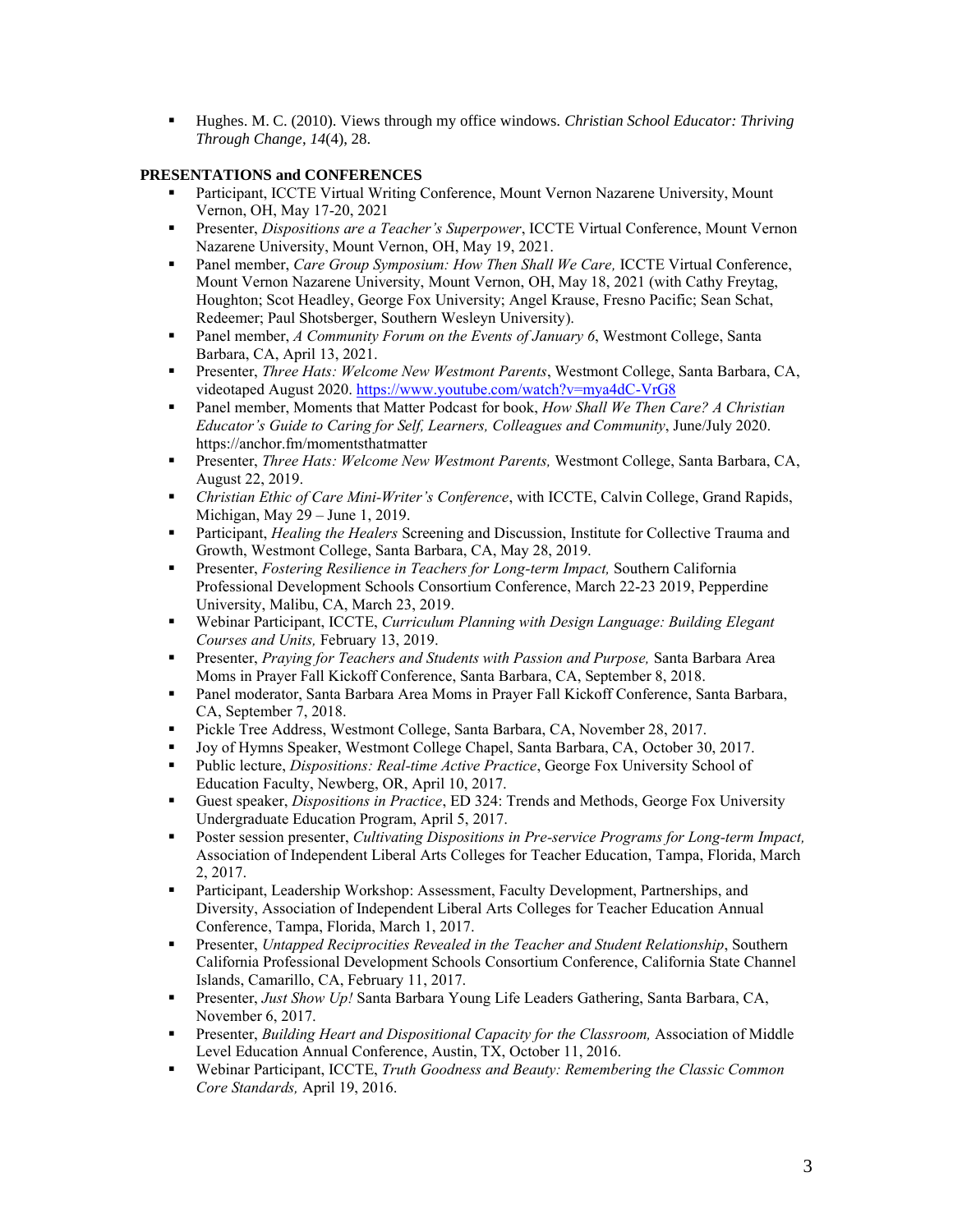▪ Hughes. M. C. (2010). Views through my office windows*. Christian School Educator: Thriving Through Change*, *14*(4), 28.

## **PRESENTATIONS and CONFERENCES**

- Participant, ICCTE Virtual Writing Conference, Mount Vernon Nazarene University, Mount Vernon, OH, May 17-20, 2021
- Presenter, *Dispositions are a Teacher's Superpower*, ICCTE Virtual Conference, Mount Vernon Nazarene University, Mount Vernon, OH, May 19, 2021.
- Panel member, *Care Group Symposium: How Then Shall We Care,* ICCTE Virtual Conference, Mount Vernon Nazarene University, Mount Vernon, OH, May 18, 2021 (with Cathy Freytag, Houghton; Scot Headley, George Fox University; Angel Krause, Fresno Pacific; Sean Schat, Redeemer; Paul Shotsberger, Southern Wesleyn University).
- Panel member, *A Community Forum on the Events of January 6*, Westmont College, Santa Barbara, CA, April 13, 2021.
- Presenter, *Three Hats: Welcome New Westmont Parents*, Westmont College, Santa Barbara, CA, videotaped August 2020. <https://www.youtube.com/watch?v=mya4dC-VrG8>
- Panel member, Moments that Matter Podcast for book, *How Shall We Then Care? A Christian Educator's Guide to Caring for Self, Learners, Colleagues and Community*, June/July 2020. https://anchor.fm/momentsthatmatter
- Presenter, *Three Hats: Welcome New Westmont Parents,* Westmont College, Santa Barbara, CA, August 22, 2019.
- *Christian Ethic of Care Mini-Writer's Conference*, with ICCTE, Calvin College, Grand Rapids, Michigan, May 29 – June 1, 2019.
- **•** Participant, *Healing the Healers* Screening and Discussion, Institute for Collective Trauma and Growth, Westmont College, Santa Barbara, CA, May 28, 2019.
- Presenter, *Fostering Resilience in Teachers for Long-term Impact,* Southern California Professional Development Schools Consortium Conference, March 22-23 2019, Pepperdine University, Malibu, CA, March 23, 2019.
- Webinar Participant, ICCTE, *Curriculum Planning with Design Language: Building Elegant Courses and Units,* February 13, 2019.
- Presenter, *Praying for Teachers and Students with Passion and Purpose,* Santa Barbara Area Moms in Prayer Fall Kickoff Conference, Santa Barbara, CA, September 8, 2018.
- Panel moderator, Santa Barbara Area Moms in Prayer Fall Kickoff Conference, Santa Barbara, CA, September 7, 2018.
- **•** Pickle Tree Address, Westmont College, Santa Barbara, CA, November 28, 2017.
- Joy of Hymns Speaker, Westmont College Chapel, Santa Barbara, CA, October 30, 2017.
- Public lecture, *Dispositions: Real-time Active Practice*, George Fox University School of Education Faculty, Newberg, OR, April 10, 2017.
- Guest speaker, *Dispositions in Practice*, ED 324: Trends and Methods, George Fox University Undergraduate Education Program, April 5, 2017.
- Poster session presenter, *Cultivating Dispositions in Pre-service Programs for Long-term Impact*, Association of Independent Liberal Arts Colleges for Teacher Education, Tampa, Florida, March 2, 2017.
- Participant, Leadership Workshop: Assessment, Faculty Development, Partnerships, and Diversity, Association of Independent Liberal Arts Colleges for Teacher Education Annual Conference, Tampa, Florida, March 1, 2017.
- **•** Presenter, *Untapped Reciprocities Revealed in the Teacher and Student Relationship*, Southern California Professional Development Schools Consortium Conference, California State Channel Islands, Camarillo, CA, February 11, 2017.
- **Presenter,** *Just Show Up!* **Santa Barbara Young Life Leaders Gathering, Santa Barbara, CA,** November 6, 2017.
- Presenter, *Building Heart and Dispositional Capacity for the Classroom,* Association of Middle Level Education Annual Conference, Austin, TX, October 11, 2016.
- Webinar Participant, ICCTE, *Truth Goodness and Beauty: Remembering the Classic Common Core Standards,* April 19, 2016.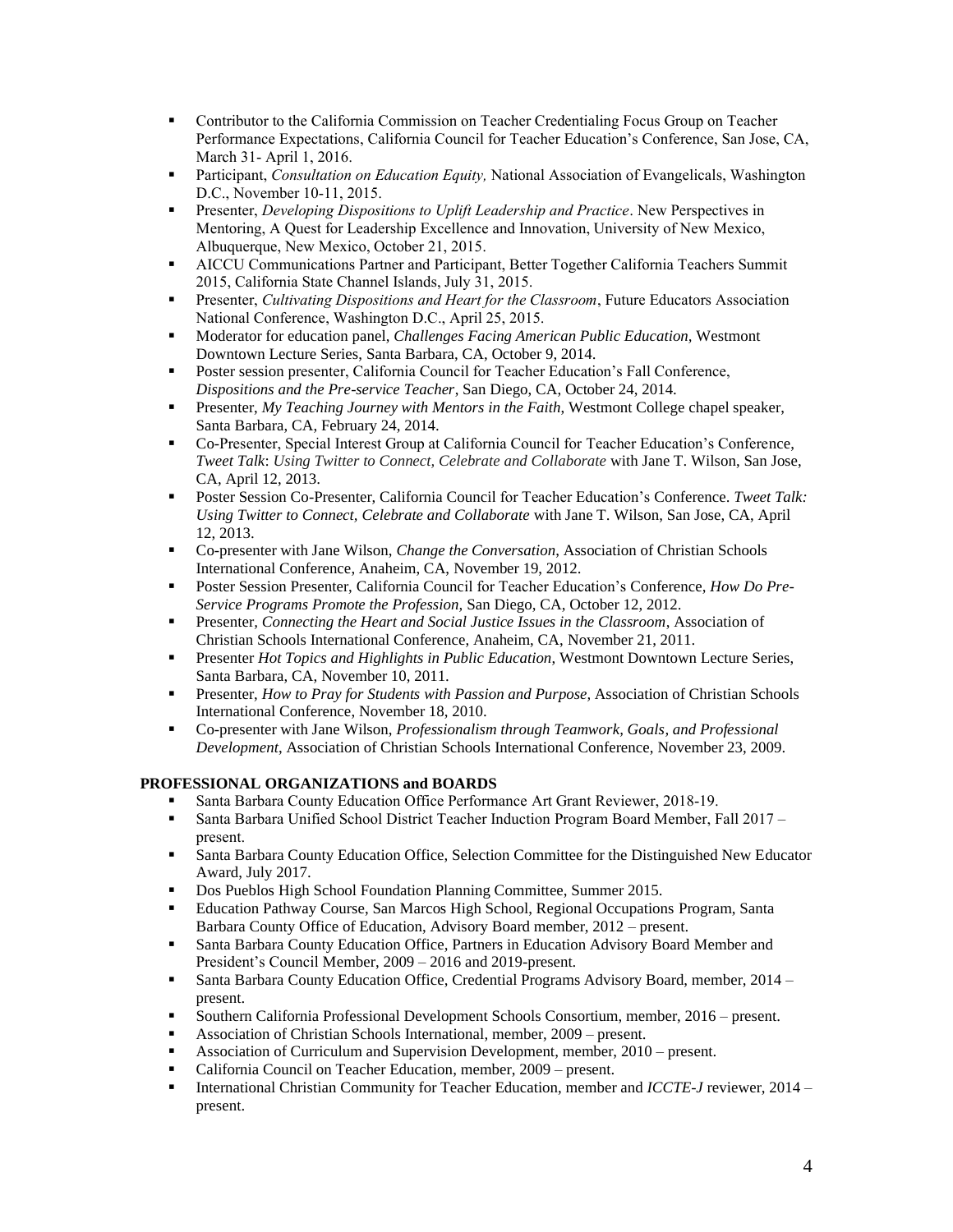- **•** Contributor to the California Commission on Teacher Credentialing Focus Group on Teacher Performance Expectations, California Council for Teacher Education's Conference, San Jose, CA, March 31- April 1, 2016.
- **•** Participant, *Consultation on Education Equity*, National Association of Evangelicals, Washington D.C., November 10-11, 2015.
- Presenter, *Developing Dispositions to Uplift Leadership and Practice*. New Perspectives in Mentoring, A Quest for Leadership Excellence and Innovation, University of New Mexico, Albuquerque, New Mexico, October 21, 2015.
- AICCU Communications Partner and Participant, Better Together California Teachers Summit 2015, California State Channel Islands, July 31, 2015.
- Presenter, *Cultivating Dispositions and Heart for the Classroom*, Future Educators Association National Conference, Washington D.C., April 25, 2015.
- Moderator for education panel, *Challenges Facing American Public Education,* Westmont Downtown Lecture Series, Santa Barbara, CA, October 9, 2014.
- **Poster session presenter, California Council for Teacher Education's Fall Conference,** *Dispositions and the Pre-service Teacher*, San Diego, CA, October 24, 2014.
- **•** Presenter, *My Teaching Journey with Mentors in the Faith*, Westmont College chapel speaker, Santa Barbara, CA, February 24, 2014.
- Co-Presenter, Special Interest Group at California Council for Teacher Education's Conference, *Tweet Talk*: *Using Twitter to Connect, Celebrate and Collaborate* with Jane T. Wilson, San Jose, CA, April 12, 2013.
- Poster Session Co-Presenter, California Council for Teacher Education's Conference. *Tweet Talk: Using Twitter to Connect, Celebrate and Collaborate* with Jane T. Wilson, San Jose, CA, April 12, 2013.
- Co-presenter with Jane Wilson, *Change the Conversation*, Association of Christian Schools International Conference, Anaheim, CA, November 19, 2012.
- Poster Session Presenter, California Council for Teacher Education's Conference, *How Do Pre-Service Programs Promote the Profession,* San Diego, CA, October 12, 2012.
- **•** Presenter, *Connecting the Heart and Social Justice Issues in the Classroom*, Association of Christian Schools International Conference, Anaheim, CA, November 21, 2011.
- **Presenter** *Hot Topics and Highlights in Public Education*, Westmont Downtown Lecture Series, Santa Barbara, CA, November 10, 2011.
- **Presenter,** *How to Pray for Students with Passion and Purpose***, Association of Christian Schools** International Conference, November 18, 2010.
- Co-presenter with Jane Wilson, *Professionalism through Teamwork, Goals, and Professional Development*, Association of Christian Schools International Conference, November 23, 2009.

## **PROFESSIONAL ORGANIZATIONS and BOARDS**

- Santa Barbara County Education Office Performance Art Grant Reviewer, 2018-19.
- Santa Barbara Unified School District Teacher Induction Program Board Member, Fall 2017 present.
- **Santa Barbara County Education Office, Selection Committee for the Distinguished New Educator** Award, July 2017.
- Dos Pueblos High School Foundation Planning Committee, Summer 2015.
- Education Pathway Course, San Marcos High School, Regional Occupations Program, Santa Barbara County Office of Education, Advisory Board member, 2012 – present.
- **Santa Barbara County Education Office, Partners in Education Advisory Board Member and** President's Council Member, 2009 – 2016 and 2019-present.
- **Santa Barbara County Education Office, Credential Programs Advisory Board, member, 2014** present.
- Southern California Professional Development Schools Consortium, member, 2016 present.
- Association of Christian Schools International, member, 2009 present.
- Association of Curriculum and Supervision Development, member, 2010 present.
- California Council on Teacher Education, member, 2009 present.
- International Christian Community for Teacher Education, member and *ICCTE-J* reviewer, 2014 present.